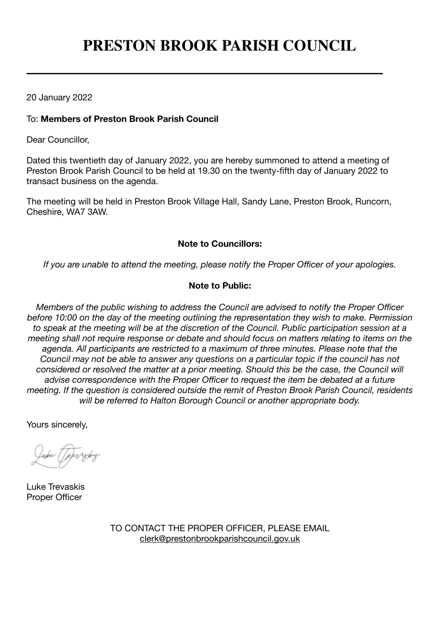# **PRESTON BROOK PARISH COUNCIL**

20 January 2022

# To: **Members of Preston Brook Parish Council**

Dear Councillor,

Dated this twentieth day of January 2022, you are hereby summoned to attend a meeting of Preston Brook Parish Council to be held at 19.30 on the twenty-fifth day of January 2022 to transact business on the agenda.

The meeting will be held in Preston Brook Village Hall, Sandy Lane, Preston Brook, Runcorn, Cheshire, WA7 3AW.

## **Note to Councillors:**

*If you are unable to attend the meeting, please notify the Proper Officer of your apologies.*

# **Note to Public:**

*Members of the public wishing to address the Council are advised to notify the Proper Officer before 10:00 on the day of the meeting outlining the representation they wish to make. Permission to speak at the meeting will be at the discretion of the Council. Public participation session at a meeting shall not require response or debate and should focus on matters relating to items on the agenda. All participants are restricted to a maximum of three minutes. Please note that the Council may not be able to answer any questions on a particular topic if the council has not considered or resolved the matter at a prior meeting. Should this be the case, the Council will advise correspondence with the Proper Officer to request the item be debated at a future meeting. If the question is considered outside the remit of Preston Brook Parish Council, residents will be referred to Halton Borough Council or another appropriate body.*

Yours sincerely,

Revykiz

Luke Trevaskis Proper Officer

TO CONTACT THE PROPER OFFICER, PLEASE EMAIL [clerk@prestonbrookparishcouncil.gov.uk](mailto:clerk@prestonbrookparishcouncil.gov.uk)